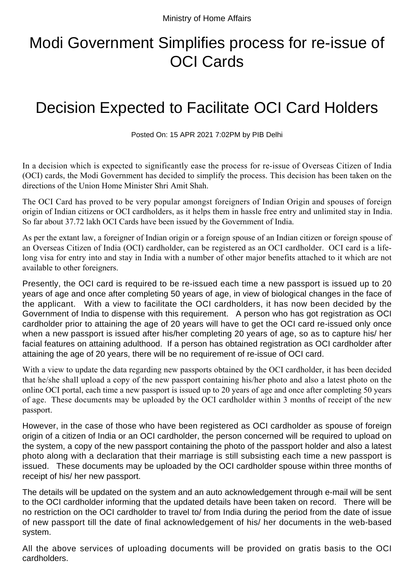## Modi Government Simplifies process for re-issue of OCI Cards

## Decision Expected to Facilitate OCI Card Holders

Posted On: 15 APR 2021 7:02PM by PIB Delhi

In a decision which is expected to significantly ease the process for re-issue of Overseas Citizen of India (OCI) cards, the Modi Government has decided to simplify the process. This decision has been taken on the directions of the Union Home Minister Shri Amit Shah.

The OCI Card has proved to be very popular amongst foreigners of Indian Origin and spouses of foreign origin of Indian citizens or OCI cardholders, as it helps them in hassle free entry and unlimited stay in India. So far about 37.72 lakh OCI Cards have been issued by the Government of India.

As per the extant law, a foreigner of Indian origin or a foreign spouse of an Indian citizen or foreign spouse of an Overseas Citizen of India (OCI) cardholder, can be registered as an OCI cardholder. OCI card is a lifelong visa for entry into and stay in India with a number of other major benefits attached to it which are not available to other foreigners.

Presently, the OCI card is required to be re-issued each time a new passport is issued up to 20 years of age and once after completing 50 years of age, in view of biological changes in the face of the applicant. With a view to facilitate the OCI cardholders, it has now been decided by the Government of India to dispense with this requirement. A person who has got registration as OCI cardholder prior to attaining the age of 20 years will have to get the OCI card re-issued only once when a new passport is issued after his/her completing 20 years of age, so as to capture his/ her facial features on attaining adulthood. If a person has obtained registration as OCI cardholder after attaining the age of 20 years, there will be no requirement of re-issue of OCI card.

With a view to update the data regarding new passports obtained by the OCI cardholder, it has been decided that he/she shall upload a copy of the new passport containing his/her photo and also a latest photo on the online OCI portal, each time a new passport is issued up to 20 years of age and once after completing 50 years of age. These documents may be uploaded by the OCI cardholder within 3 months of receipt of the new passport.

However, in the case of those who have been registered as OCI cardholder as spouse of foreign origin of a citizen of India or an OCI cardholder, the person concerned will be required to upload on the system, a copy of the new passport containing the photo of the passport holder and also a latest photo along with a declaration that their marriage is still subsisting each time a new passport is issued. These documents may be uploaded by the OCI cardholder spouse within three months of receipt of his/ her new passport.

The details will be updated on the system and an auto acknowledgement through e-mail will be sent to the OCI cardholder informing that the updated details have been taken on record. There will be no restriction on the OCI cardholder to travel to/ from India during the period from the date of issue of new passport till the date of final acknowledgement of his/ her documents in the web-based system.

All the above services of uploading documents will be provided on gratis basis to the OCI cardholders.